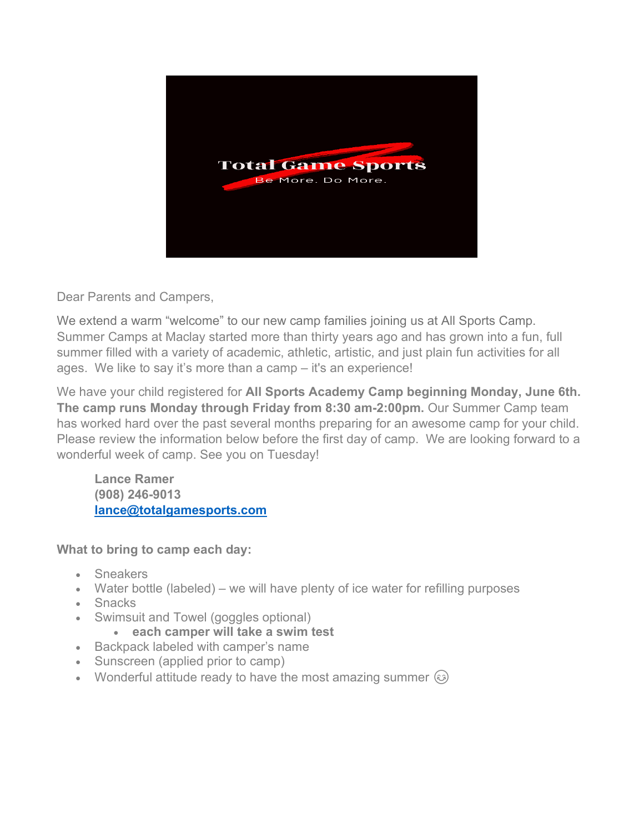

Dear Parents and Campers,

We extend a warm "welcome" to our new camp families joining us at All Sports Camp. Summer Camps at Maclay started more than thirty years ago and has grown into a fun, full summer filled with a variety of academic, athletic, artistic, and just plain fun activities for all ages. We like to say it's more than a camp – it's an experience!

We have your child registered for **All Sports Academy Camp beginning Monday, June 6th. The camp runs Monday through Friday from 8:30 am-2:00pm.** Our Summer Camp team has worked hard over the past several months preparing for an awesome camp for your child. Please review the information below before the first day of camp. We are looking forward to a wonderful week of camp. See you on Tuesday!

**Lance Ramer (908) 246-9013 [lance@totalgamesports.com](mailto:lance@totalgamesports.com)**

**What to bring to camp each day:**

- Sneakers
- Water bottle (labeled) we will have plenty of ice water for refilling purposes
- Snacks
- Swimsuit and Towel (goggles optional)
	- **each camper will take a swim test**
- Backpack labeled with camper's name
- Sunscreen (applied prior to camp)
- Wonderful attitude ready to have the most amazing summer  $\odot$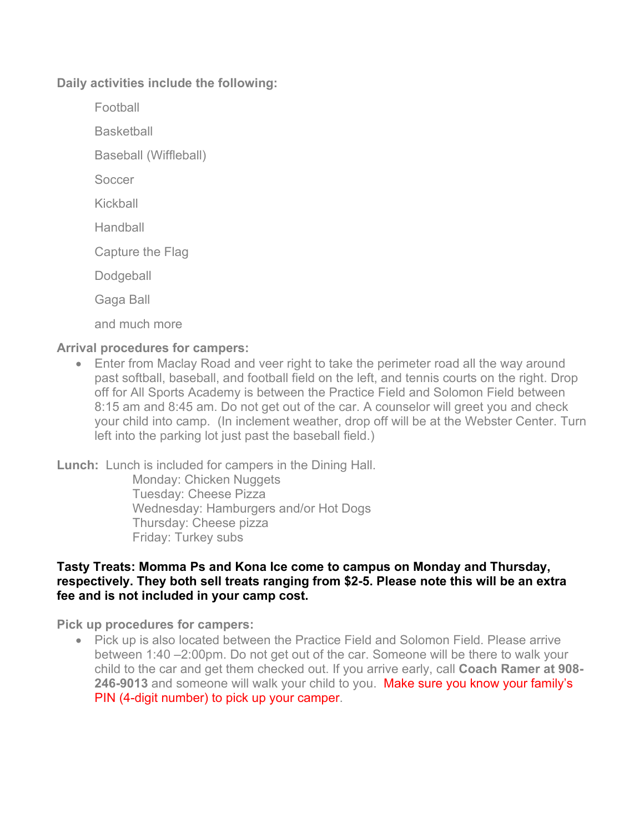**Daily activities include the following:**

Football

**Basketball** 

Baseball (Wiffleball)

Soccer

Kickball

**Handball** 

Capture the Flag

**Dodgeball** 

Gaga Ball

and much more

## **Arrival procedures for campers:**

• Enter from Maclay Road and veer right to take the perimeter road all the way around past softball, baseball, and football field on the left, and tennis courts on the right. Drop off for All Sports Academy is between the Practice Field and Solomon Field between 8:15 am and 8:45 am. Do not get out of the car. A counselor will greet you and check your child into camp. (In inclement weather, drop off will be at the Webster Center. Turn left into the parking lot just past the baseball field.)

**Lunch:** Lunch is included for campers in the Dining Hall.

Monday: Chicken Nuggets Tuesday: Cheese Pizza Wednesday: Hamburgers and/or Hot Dogs Thursday: Cheese pizza Friday: Turkey subs

## **Tasty Treats: Momma Ps and Kona Ice come to campus on Monday and Thursday, respectively. They both sell treats ranging from \$2-5. Please note this will be an extra fee and is not included in your camp cost.**

**Pick up procedures for campers:**

• Pick up is also located between the Practice Field and Solomon Field. Please arrive between 1:40 –2:00pm. Do not get out of the car. Someone will be there to walk your child to the car and get them checked out. If you arrive early, call **Coach Ramer at 908- 246-9013** and someone will walk your child to you. Make sure you know your family's PIN (4-digit number) to pick up your camper.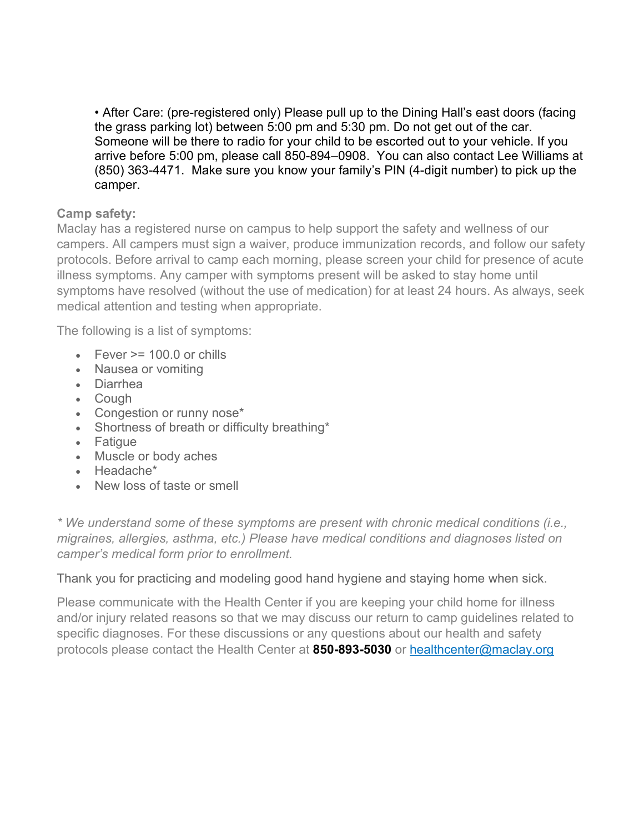• After Care: (pre-registered only) Please pull up to the Dining Hall's east doors (facing the grass parking lot) between 5:00 pm and 5:30 pm. Do not get out of the car. Someone will be there to radio for your child to be escorted out to your vehicle. If you arrive before 5:00 pm, please call 850-894–0908. You can also contact Lee Williams at (850) 363-4471. Make sure you know your family's PIN (4-digit number) to pick up the camper.

## **Camp safety:**

Maclay has a registered nurse on campus to help support the safety and wellness of our campers. All campers must sign a waiver, produce immunization records, and follow our safety protocols. Before arrival to camp each morning, please screen your child for presence of acute illness symptoms. Any camper with symptoms present will be asked to stay home until symptoms have resolved (without the use of medication) for at least 24 hours. As always, seek medical attention and testing when appropriate.

The following is a list of symptoms:

- Fever  $\geq$  100.0 or chills
- Nausea or vomiting
- Diarrhea
- Cough
- Congestion or runny nose\*
- Shortness of breath or difficulty breathing\*
- Fatigue
- Muscle or body aches
- Headache\*
- New loss of taste or smell

*\* We understand some of these symptoms are present with chronic medical conditions (i.e., migraines, allergies, asthma, etc.) Please have medical conditions and diagnoses listed on camper's medical form prior to enrollment.* 

Thank you for practicing and modeling good hand hygiene and staying home when sick.

Please communicate with the Health Center if you are keeping your child home for illness and/or injury related reasons so that we may discuss our return to camp guidelines related to specific diagnoses. For these discussions or any questions about our health and safety protocols please contact the Health Center at **850-893-5030** or [healthcenter@maclay.org](mailto:healthcenter@maclay.org)